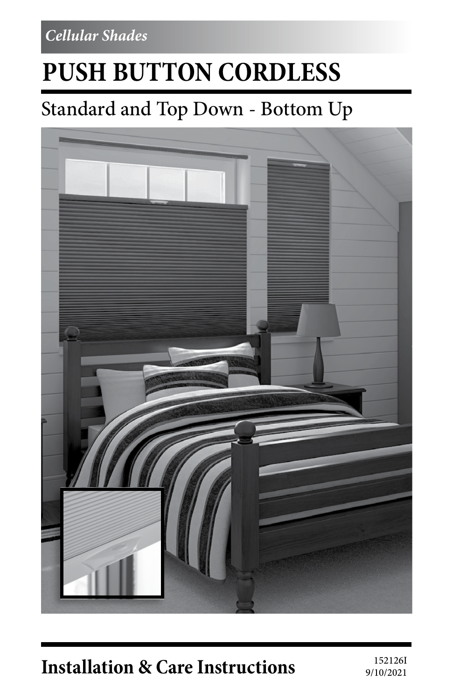*Cellular Shades*

# **PUSH BUTTON CORDLESS**

# Standard and Top Down - Bottom Up



# **Installation & Care Instructions** 152126I

9/10/2021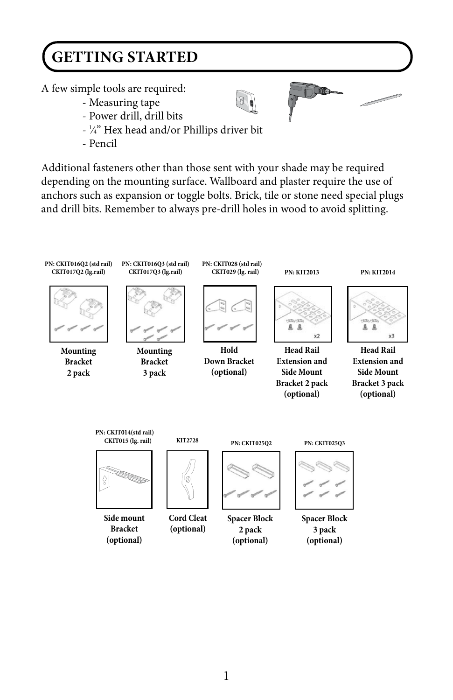# **GETTING STARTED**

A few simple tools are required:

- Measuring tape
- Power drill, drill bits
- 1 ⁄4" Hex head and/or Phillips driver bit
- Pencil

Additional fasteners other than those sent with your shade may be required depending on the mounting surface. Wallboard and plaster require the use of anchors such as expansion or toggle bolts. Brick, tile or stone need special plugs and drill bits. Remember to always pre-drill holes in wood to avoid splitting.

**Contract Contract Only 100 and 100 minutes** 

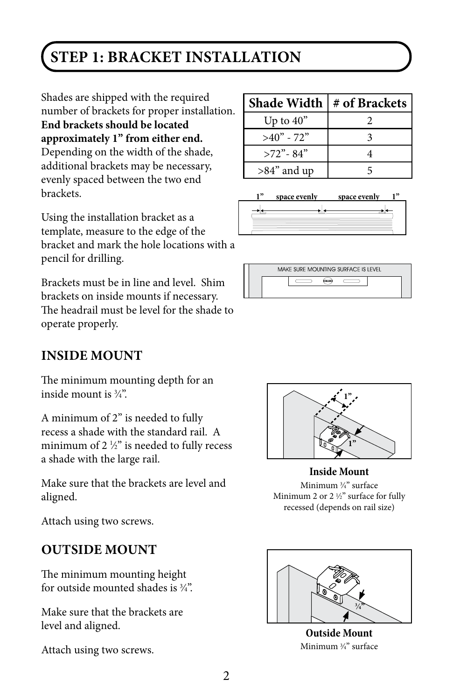### **STEP 1: BRACKET INSTALLATION**

Shades are shipped with the required number of brackets for proper installation. **End brackets should be located approximately 1" from either end.**  Depending on the width of the shade, additional brackets may be necessary, evenly spaced between the two end brackets.

Using the installation bracket as a template, measure to the edge of the bracket and mark the hole locations with a pencil for drilling.

Brackets must be in line and level. Shim brackets on inside mounts if necessary. The headrail must be level for the shade to operate properly.

#### **INSIDE MOUNT**

The minimum mounting depth for an inside mount is 3 ⁄4".

A minimum of 2" is needed to fully recess a shade with the standard rail. A minimum of 2  $\frac{1}{2}$ " is needed to fully recess a shade with the large rail.

Make sure that the brackets are level and aligned.

Attach using two screws.

#### **OUTSIDE MOUNT**

The minimum mounting height for outside mounted shades is 3 ⁄4".

Make sure that the brackets are level and aligned.

Attach using two screws.

| <b>Shade Width</b> | # of Brackets |
|--------------------|---------------|
| Up to $40"$        |               |
| $>40"$ - 72"       |               |
| $>72$ " - 84"      |               |
| $>84$ " and up     |               |







**Inside Mount** Minimum 3 ⁄4" surface Minimum 2 or 2 1 ⁄2" surface for fully recessed (depends on rail size)



**Outside Mount** Minimum 3 ⁄4" surface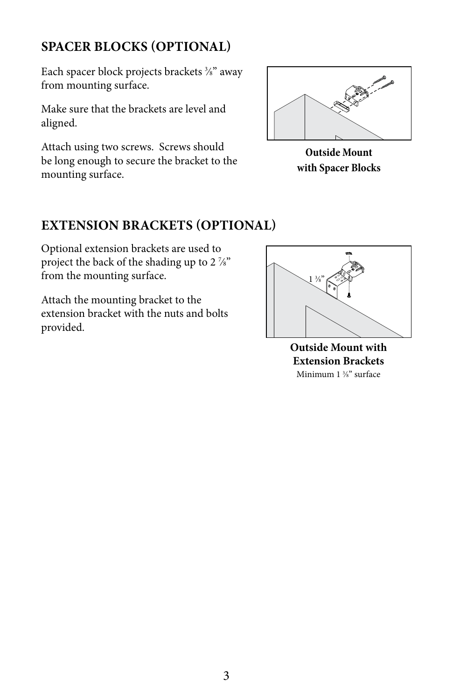#### **SPACER BLOCKS (OPTIONAL)**

Each spacer block projects brackets 3 ⁄8" away from mounting surface.

Make sure that the brackets are level and aligned.

Attach using two screws. Screws should be long enough to secure the bracket to the mounting surface.



**Outside Mount with Spacer Blocks**

#### **EXTENSION BRACKETS (OPTIONAL)**

Optional extension brackets are used to project the back of the shading up to 2  $\frac{7}{8}$ " from the mounting surface.

Attach the mounting bracket to the extension bracket with the nuts and bolts provided.



**Outside Mount with Extension Brackets** Minimum 1 3 ⁄8" surface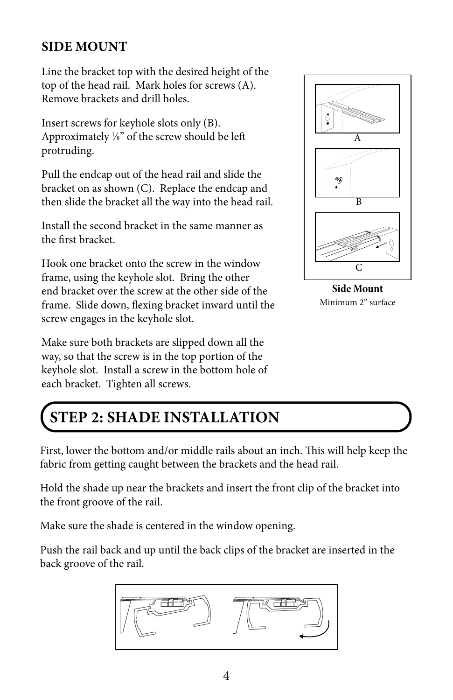#### **SIDE MOUNT**

Line the bracket top with the desired height of the top of the head rail. Mark holes for screws (A). Remove brackets and drill holes.

Insert screws for keyhole slots only (B). Approximately  $\frac{1}{8}$ " of the screw should be left protruding.

Pull the endcap out of the head rail and slide the bracket on as shown (C). Replace the endcap and then slide the bracket all the way into the head rail.

Install the second bracket in the same manner as the first bracket.

Hook one bracket onto the screw in the window frame, using the keyhole slot. Bring the other end bracket over the screw at the other side of the frame. Slide down, flexing bracket inward until the screw engages in the keyhole slot.

Make sure both brackets are slipped down all the way, so that the screw is in the top portion of the keyhole slot. Install a screw in the bottom hole of each bracket. Tighten all screws.



**Side Mount** Minimum 2" surface

### **STEP 2: SHADE INSTALLATION**

First, lower the bottom and/or middle rails about an inch. This will help keep the fabric from getting caught between the brackets and the head rail.

Hold the shade up near the brackets and insert the front clip of the bracket into the front groove of the rail.

Make sure the shade is centered in the window opening.

Push the rail back and up until the back clips of the bracket are inserted in the back groove of the rail.

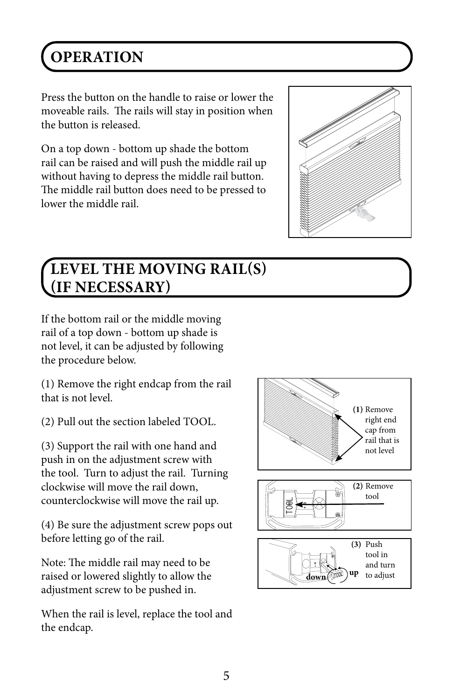# **OPERATION**

Press the button on the handle to raise or lower the moveable rails. The rails will stay in position when the button is released.

On a top down - bottom up shade the bottom rail can be raised and will push the middle rail up without having to depress the middle rail button. The middle rail button does need to be pressed to lower the middle rail.



### **LEVEL THE MOVING RAIL(S) (IF NECESSARY)**

If the bottom rail or the middle moving rail of a top down - bottom up shade is not level, it can be adjusted by following the procedure below.

(1) Remove the right endcap from the rail that is not level.

(2) Pull out the section labeled TOOL.

(3) Support the rail with one hand and push in on the adjustment screw with the tool. Turn to adjust the rail. Turning clockwise will move the rail down, counterclockwise will move the rail up.

(4) Be sure the adjustment screw pops out before letting go of the rail.

Note: The middle rail may need to be raised or lowered slightly to allow the adjustment screw to be pushed in.

When the rail is level, replace the tool and the endcap.

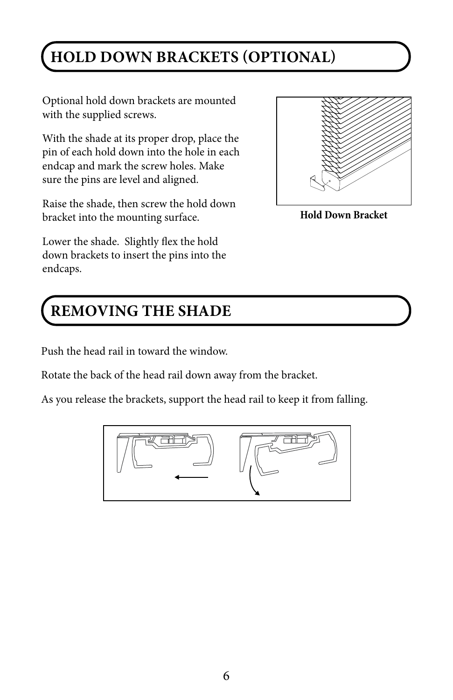## **HOLD DOWN BRACKETS (OPTIONAL)**

Optional hold down brackets are mounted with the supplied screws.

With the shade at its proper drop, place the pin of each hold down into the hole in each endcap and mark the screw holes. Make sure the pins are level and aligned.

Raise the shade, then screw the hold down bracket into the mounting surface.

Lower the shade. Slightly flex the hold down brackets to insert the pins into the endcaps.

## **REMOVING THE SHADE**

Push the head rail in toward the window.

Rotate the back of the head rail down away from the bracket.

As you release the brackets, support the head rail to keep it from falling.





**Hold Down Bracket**